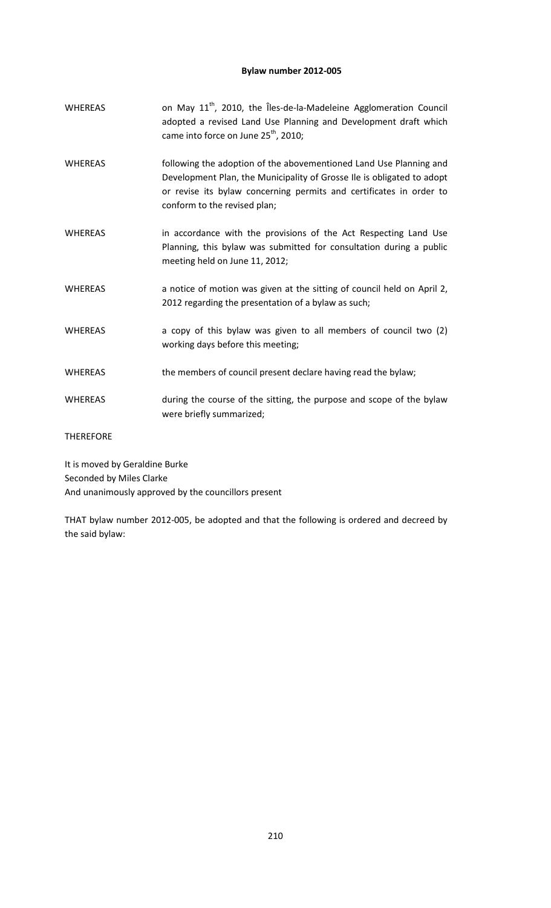# **Bylaw number 2012-005**

| <b>WHEREAS</b>                 | on May 11 <sup>th</sup> , 2010, the Îles-de-la-Madeleine Agglomeration Council<br>adopted a revised Land Use Planning and Development draft which<br>came into force on June 25 <sup>th</sup> , 2010;                                               |
|--------------------------------|-----------------------------------------------------------------------------------------------------------------------------------------------------------------------------------------------------------------------------------------------------|
| <b>WHEREAS</b>                 | following the adoption of the abovementioned Land Use Planning and<br>Development Plan, the Municipality of Grosse Ile is obligated to adopt<br>or revise its bylaw concerning permits and certificates in order to<br>conform to the revised plan; |
| <b>WHEREAS</b>                 | in accordance with the provisions of the Act Respecting Land Use<br>Planning, this bylaw was submitted for consultation during a public<br>meeting held on June 11, 2012;                                                                           |
| <b>WHEREAS</b>                 | a notice of motion was given at the sitting of council held on April 2,<br>2012 regarding the presentation of a bylaw as such;                                                                                                                      |
| <b>WHEREAS</b>                 | a copy of this bylaw was given to all members of council two (2)<br>working days before this meeting;                                                                                                                                               |
| <b>WHEREAS</b>                 | the members of council present declare having read the bylaw;                                                                                                                                                                                       |
| <b>WHEREAS</b>                 | during the course of the sitting, the purpose and scope of the bylaw<br>were briefly summarized;                                                                                                                                                    |
| <b>THEREFORE</b>               |                                                                                                                                                                                                                                                     |
| It is moved by Geraldine Burke |                                                                                                                                                                                                                                                     |

Seconded by Miles Clarke

And unanimously approved by the councillors present

THAT bylaw number 2012-005, be adopted and that the following is ordered and decreed by the said bylaw: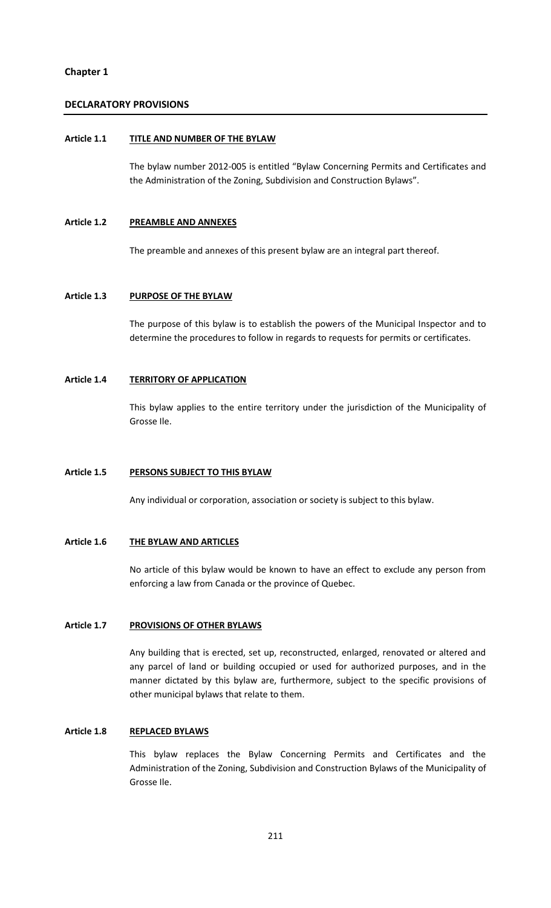# **Chapter 1**

# **DECLARATORY PROVISIONS**

#### **Article 1.1 TITLE AND NUMBER OF THE BYLAW**

The bylaw number 2012-005 is entitled "Bylaw Concerning Permits and Certificates and the Administration of the Zoning, Subdivision and Construction Bylaws".

#### **Article 1.2 PREAMBLE AND ANNEXES**

The preamble and annexes of this present bylaw are an integral part thereof.

### **Article 1.3 PURPOSE OF THE BYLAW**

The purpose of this bylaw is to establish the powers of the Municipal Inspector and to determine the procedures to follow in regards to requests for permits or certificates.

### **Article 1.4 TERRITORY OF APPLICATION**

This bylaw applies to the entire territory under the jurisdiction of the Municipality of Grosse Ile.

#### **Article 1.5 PERSONS SUBJECT TO THIS BYLAW**

Any individual or corporation, association or society is subject to this bylaw.

#### **Article 1.6 THE BYLAW AND ARTICLES**

No article of this bylaw would be known to have an effect to exclude any person from enforcing a law from Canada or the province of Quebec.

# **Article 1.7 PROVISIONS OF OTHER BYLAWS**

Any building that is erected, set up, reconstructed, enlarged, renovated or altered and any parcel of land or building occupied or used for authorized purposes, and in the manner dictated by this bylaw are, furthermore, subject to the specific provisions of other municipal bylaws that relate to them.

#### **Article 1.8 REPLACED BYLAWS**

This bylaw replaces the Bylaw Concerning Permits and Certificates and the Administration of the Zoning, Subdivision and Construction Bylaws of the Municipality of Grosse Ile.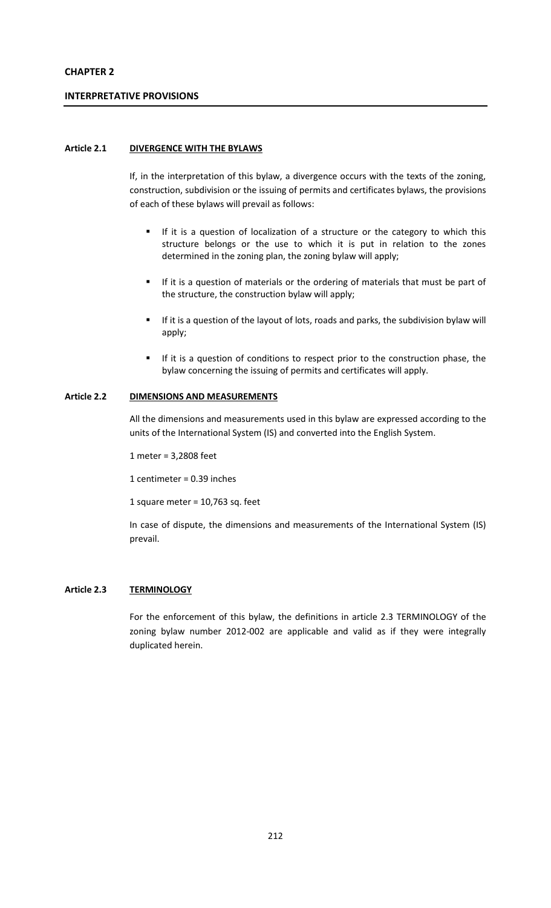# **CHAPTER 2**

### **INTERPRETATIVE PROVISIONS**

### **Article 2.1 DIVERGENCE WITH THE BYLAWS**

If, in the interpretation of this bylaw, a divergence occurs with the texts of the zoning, construction, subdivision or the issuing of permits and certificates bylaws, the provisions of each of these bylaws will prevail as follows:

- If it is a question of localization of a structure or the category to which this structure belongs or the use to which it is put in relation to the zones determined in the zoning plan, the zoning bylaw will apply;
- If it is a question of materials or the ordering of materials that must be part of the structure, the construction bylaw will apply;
- **If it is a question of the layout of lots, roads and parks, the subdivision bylaw will** apply;
- If it is a question of conditions to respect prior to the construction phase, the bylaw concerning the issuing of permits and certificates will apply.

#### **Article 2.2 DIMENSIONS AND MEASUREMENTS**

All the dimensions and measurements used in this bylaw are expressed according to the units of the International System (IS) and converted into the English System.

1 meter = 3,2808 feet

1 centimeter = 0.39 inches

1 square meter =  $10,763$  sq. feet

In case of dispute, the dimensions and measurements of the International System (IS) prevail.

#### **Article 2.3 TERMINOLOGY**

For the enforcement of this bylaw, the definitions in article 2.3 TERMINOLOGY of the zoning bylaw number 2012-002 are applicable and valid as if they were integrally duplicated herein.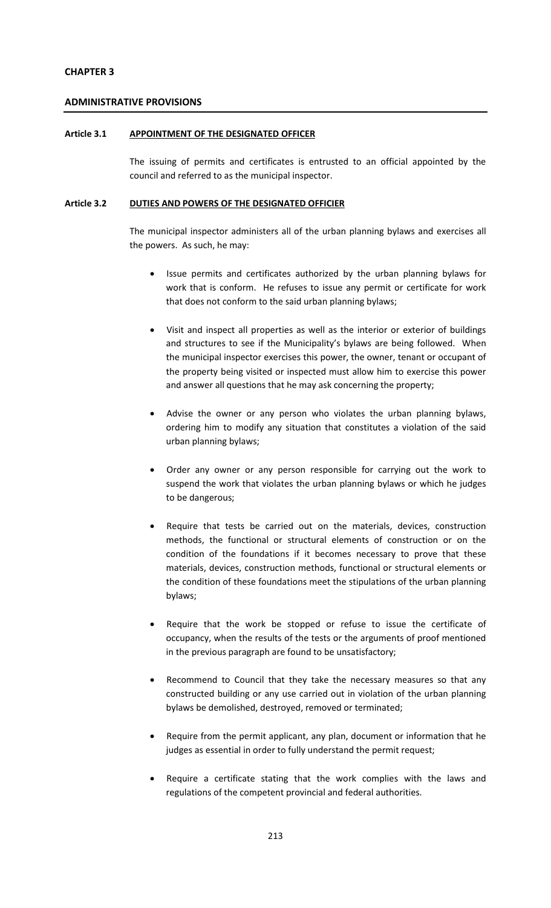# **CHAPTER 3**

## **ADMINISTRATIVE PROVISIONS**

### **Article 3.1 APPOINTMENT OF THE DESIGNATED OFFICER**

The issuing of permits and certificates is entrusted to an official appointed by the council and referred to as the municipal inspector.

# **Article 3.2 DUTIES AND POWERS OF THE DESIGNATED OFFICIER**

The municipal inspector administers all of the urban planning bylaws and exercises all the powers. As such, he may:

- Issue permits and certificates authorized by the urban planning bylaws for work that is conform. He refuses to issue any permit or certificate for work that does not conform to the said urban planning bylaws;
- Visit and inspect all properties as well as the interior or exterior of buildings and structures to see if the Municipality's bylaws are being followed. When the municipal inspector exercises this power, the owner, tenant or occupant of the property being visited or inspected must allow him to exercise this power and answer all questions that he may ask concerning the property;
- Advise the owner or any person who violates the urban planning bylaws, ordering him to modify any situation that constitutes a violation of the said urban planning bylaws;
- Order any owner or any person responsible for carrying out the work to suspend the work that violates the urban planning bylaws or which he judges to be dangerous;
- Require that tests be carried out on the materials, devices, construction methods, the functional or structural elements of construction or on the condition of the foundations if it becomes necessary to prove that these materials, devices, construction methods, functional or structural elements or the condition of these foundations meet the stipulations of the urban planning bylaws;
- Require that the work be stopped or refuse to issue the certificate of occupancy, when the results of the tests or the arguments of proof mentioned in the previous paragraph are found to be unsatisfactory;
- Recommend to Council that they take the necessary measures so that any constructed building or any use carried out in violation of the urban planning bylaws be demolished, destroyed, removed or terminated;
- Require from the permit applicant, any plan, document or information that he judges as essential in order to fully understand the permit request;
- Require a certificate stating that the work complies with the laws and regulations of the competent provincial and federal authorities.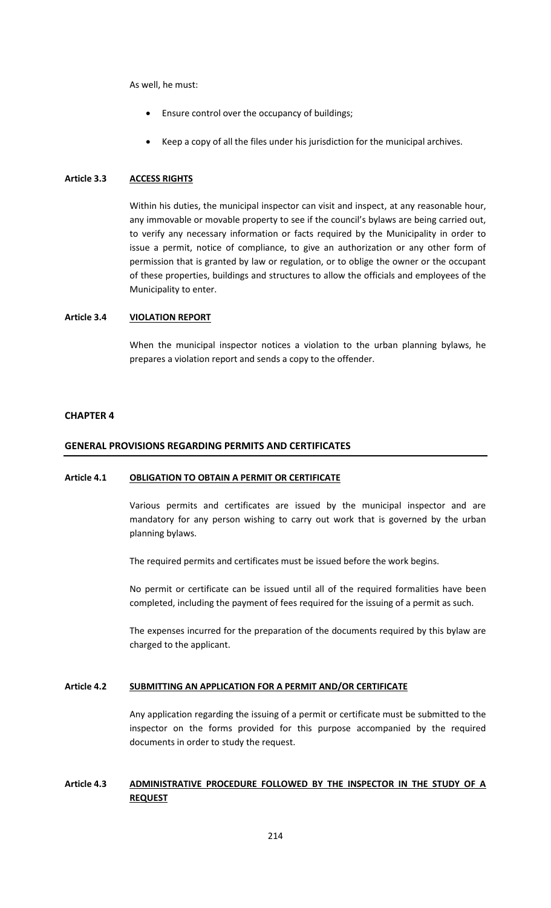As well, he must:

- Ensure control over the occupancy of buildings;
- Keep a copy of all the files under his jurisdiction for the municipal archives.

## **Article 3.3 ACCESS RIGHTS**

Within his duties, the municipal inspector can visit and inspect, at any reasonable hour, any immovable or movable property to see if the council's bylaws are being carried out, to verify any necessary information or facts required by the Municipality in order to issue a permit, notice of compliance, to give an authorization or any other form of permission that is granted by law or regulation, or to oblige the owner or the occupant of these properties, buildings and structures to allow the officials and employees of the Municipality to enter.

### **Article 3.4 VIOLATION REPORT**

When the municipal inspector notices a violation to the urban planning bylaws, he prepares a violation report and sends a copy to the offender.

#### **CHAPTER 4**

### **GENERAL PROVISIONS REGARDING PERMITS AND CERTIFICATES**

#### **Article 4.1 OBLIGATION TO OBTAIN A PERMIT OR CERTIFICATE**

Various permits and certificates are issued by the municipal inspector and are mandatory for any person wishing to carry out work that is governed by the urban planning bylaws.

The required permits and certificates must be issued before the work begins.

No permit or certificate can be issued until all of the required formalities have been completed, including the payment of fees required for the issuing of a permit as such.

The expenses incurred for the preparation of the documents required by this bylaw are charged to the applicant.

#### **Article 4.2 SUBMITTING AN APPLICATION FOR A PERMIT AND/OR CERTIFICATE**

Any application regarding the issuing of a permit or certificate must be submitted to the inspector on the forms provided for this purpose accompanied by the required documents in order to study the request.

# **Article 4.3 ADMINISTRATIVE PROCEDURE FOLLOWED BY THE INSPECTOR IN THE STUDY OF A REQUEST**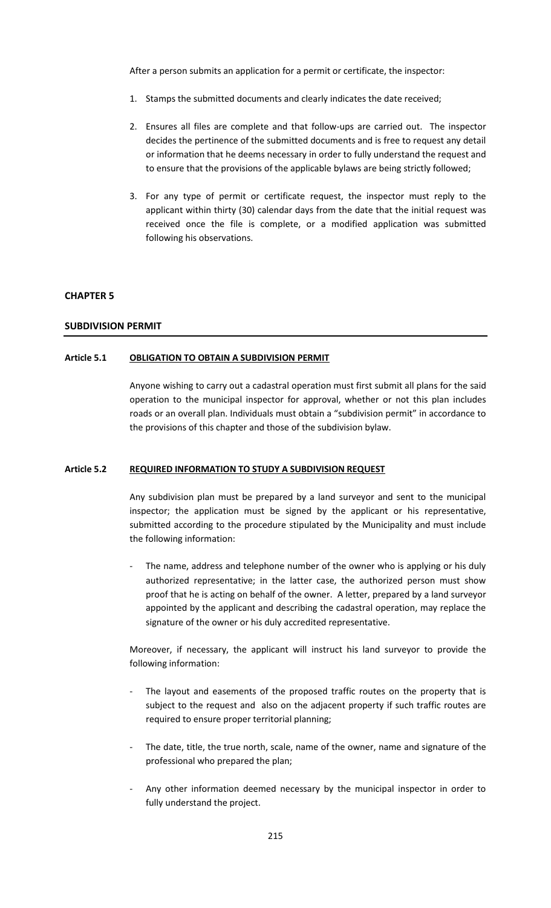After a person submits an application for a permit or certificate, the inspector:

- 1. Stamps the submitted documents and clearly indicates the date received;
- 2. Ensures all files are complete and that follow-ups are carried out. The inspector decides the pertinence of the submitted documents and is free to request any detail or information that he deems necessary in order to fully understand the request and to ensure that the provisions of the applicable bylaws are being strictly followed;
- 3. For any type of permit or certificate request, the inspector must reply to the applicant within thirty (30) calendar days from the date that the initial request was received once the file is complete, or a modified application was submitted following his observations.

#### **CHAPTER 5**

#### **SUBDIVISION PERMIT**

#### **Article 5.1 OBLIGATION TO OBTAIN A SUBDIVISION PERMIT**

Anyone wishing to carry out a cadastral operation must first submit all plans for the said operation to the municipal inspector for approval, whether or not this plan includes roads or an overall plan. Individuals must obtain a "subdivision permit" in accordance to the provisions of this chapter and those of the subdivision bylaw.

### **Article 5.2 REQUIRED INFORMATION TO STUDY A SUBDIVISION REQUEST**

Any subdivision plan must be prepared by a land surveyor and sent to the municipal inspector; the application must be signed by the applicant or his representative, submitted according to the procedure stipulated by the Municipality and must include the following information:

The name, address and telephone number of the owner who is applying or his duly authorized representative; in the latter case, the authorized person must show proof that he is acting on behalf of the owner. A letter, prepared by a land surveyor appointed by the applicant and describing the cadastral operation, may replace the signature of the owner or his duly accredited representative.

Moreover, if necessary, the applicant will instruct his land surveyor to provide the following information:

- The layout and easements of the proposed traffic routes on the property that is subject to the request and also on the adjacent property if such traffic routes are required to ensure proper territorial planning;
- The date, title, the true north, scale, name of the owner, name and signature of the professional who prepared the plan;
- Any other information deemed necessary by the municipal inspector in order to fully understand the project.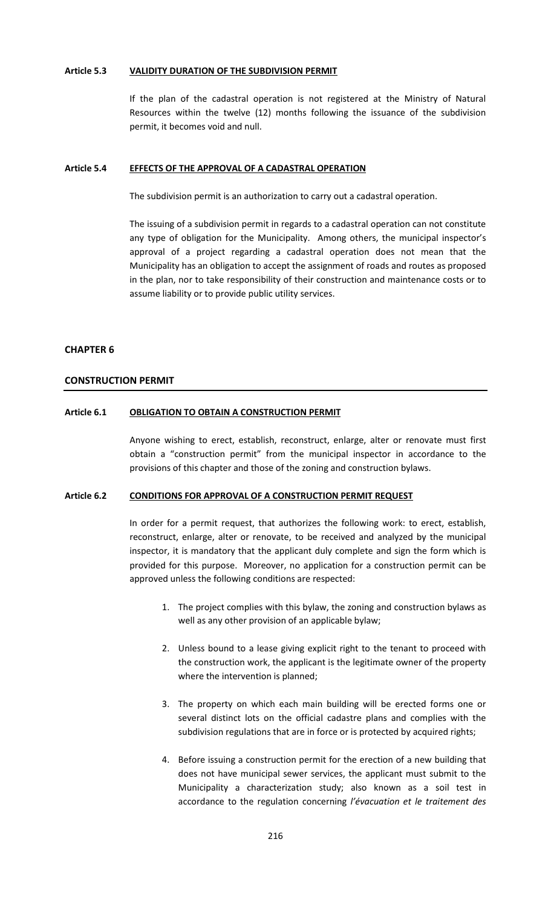## **Article 5.3 VALIDITY DURATION OF THE SUBDIVISION PERMIT**

If the plan of the cadastral operation is not registered at the Ministry of Natural Resources within the twelve (12) months following the issuance of the subdivision permit, it becomes void and null.

#### **Article 5.4 EFFECTS OF THE APPROVAL OF A CADASTRAL OPERATION**

The subdivision permit is an authorization to carry out a cadastral operation.

The issuing of a subdivision permit in regards to a cadastral operation can not constitute any type of obligation for the Municipality. Among others, the municipal inspector's approval of a project regarding a cadastral operation does not mean that the Municipality has an obligation to accept the assignment of roads and routes as proposed in the plan, nor to take responsibility of their construction and maintenance costs or to assume liability or to provide public utility services.

#### **CHAPTER 6**

#### **CONSTRUCTION PERMIT**

#### **Article 6.1 OBLIGATION TO OBTAIN A CONSTRUCTION PERMIT**

Anyone wishing to erect, establish, reconstruct, enlarge, alter or renovate must first obtain a "construction permit" from the municipal inspector in accordance to the provisions of this chapter and those of the zoning and construction bylaws.

### **Article 6.2 CONDITIONS FOR APPROVAL OF A CONSTRUCTION PERMIT REQUEST**

In order for a permit request, that authorizes the following work: to erect, establish, reconstruct, enlarge, alter or renovate, to be received and analyzed by the municipal inspector, it is mandatory that the applicant duly complete and sign the form which is provided for this purpose. Moreover, no application for a construction permit can be approved unless the following conditions are respected:

- 1. The project complies with this bylaw, the zoning and construction bylaws as well as any other provision of an applicable bylaw;
- 2. Unless bound to a lease giving explicit right to the tenant to proceed with the construction work, the applicant is the legitimate owner of the property where the intervention is planned;
- 3. The property on which each main building will be erected forms one or several distinct lots on the official cadastre plans and complies with the subdivision regulations that are in force or is protected by acquired rights;
- 4. Before issuing a construction permit for the erection of a new building that does not have municipal sewer services, the applicant must submit to the Municipality a characterization study; also known as a soil test in accordance to the regulation concerning *l'évacuation et le traitement des*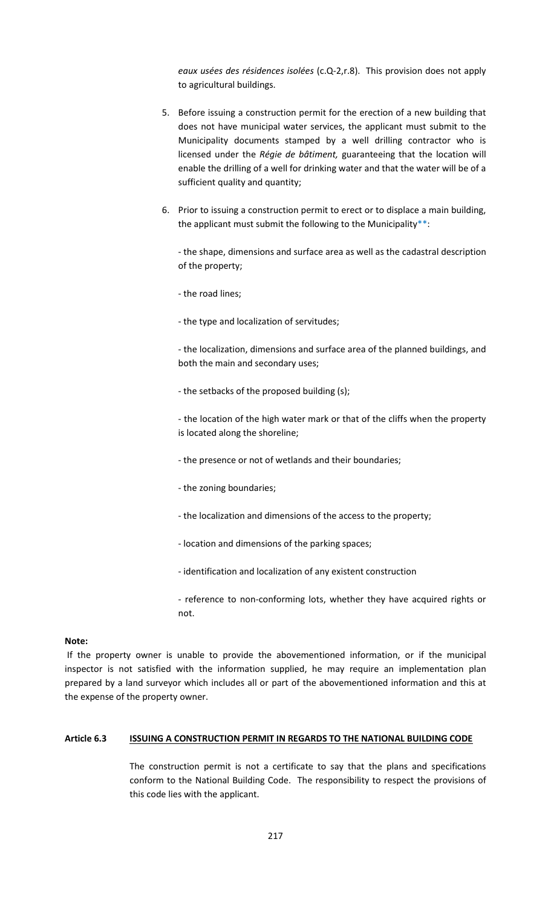*eaux usées des résidences isolées* (c.Q-2,r.8). This provision does not apply to agricultural buildings.

- 5. Before issuing a construction permit for the erection of a new building that does not have municipal water services, the applicant must submit to the Municipality documents stamped by a well drilling contractor who is licensed under the *Régie de bâtiment,* guaranteeing that the location will enable the drilling of a well for drinking water and that the water will be of a sufficient quality and quantity;
- 6. Prior to issuing a construction permit to erect or to displace a main building, the applicant must submit the following to the Municipality $**$ :

- the shape, dimensions and surface area as well as the cadastral description of the property;

- the road lines;

- the type and localization of servitudes;

- the localization, dimensions and surface area of the planned buildings, and both the main and secondary uses;

- the setbacks of the proposed building (s);

- the location of the high water mark or that of the cliffs when the property is located along the shoreline;

- the presence or not of wetlands and their boundaries;

- the zoning boundaries;
- the localization and dimensions of the access to the property;
- location and dimensions of the parking spaces;
- identification and localization of any existent construction
- reference to non-conforming lots, whether they have acquired rights or not.

#### **Note:**

If the property owner is unable to provide the abovementioned information, or if the municipal inspector is not satisfied with the information supplied, he may require an implementation plan prepared by a land surveyor which includes all or part of the abovementioned information and this at the expense of the property owner.

# **Article 6.3 ISSUING A CONSTRUCTION PERMIT IN REGARDS TO THE NATIONAL BUILDING CODE**

The construction permit is not a certificate to say that the plans and specifications conform to the National Building Code. The responsibility to respect the provisions of this code lies with the applicant.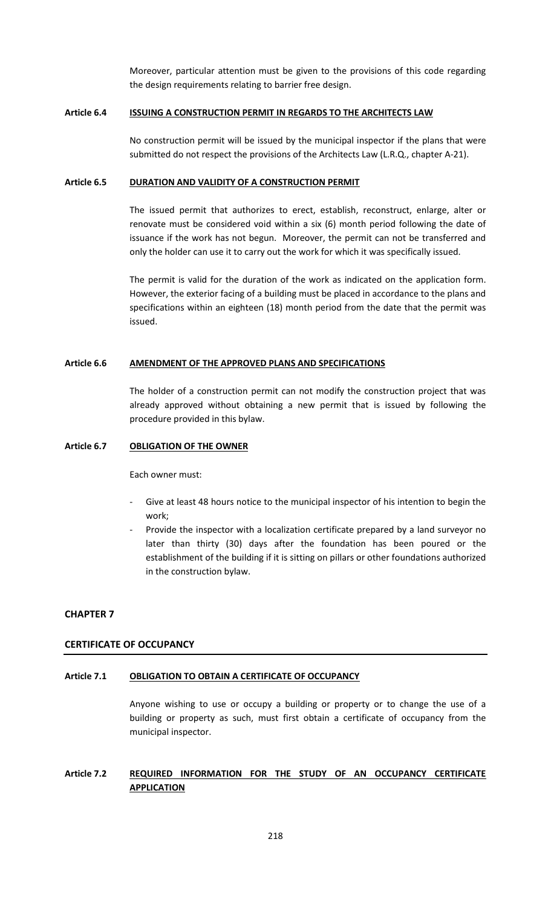Moreover, particular attention must be given to the provisions of this code regarding the design requirements relating to barrier free design.

### **Article 6.4 ISSUING A CONSTRUCTION PERMIT IN REGARDS TO THE ARCHITECTS LAW**

No construction permit will be issued by the municipal inspector if the plans that were submitted do not respect the provisions of the Architects Law (L.R.Q., chapter A-21).

#### **Article 6.5 DURATION AND VALIDITY OF A CONSTRUCTION PERMIT**

The issued permit that authorizes to erect, establish, reconstruct, enlarge, alter or renovate must be considered void within a six (6) month period following the date of issuance if the work has not begun. Moreover, the permit can not be transferred and only the holder can use it to carry out the work for which it was specifically issued.

The permit is valid for the duration of the work as indicated on the application form. However, the exterior facing of a building must be placed in accordance to the plans and specifications within an eighteen (18) month period from the date that the permit was issued.

# **Article 6.6 AMENDMENT OF THE APPROVED PLANS AND SPECIFICATIONS**

The holder of a construction permit can not modify the construction project that was already approved without obtaining a new permit that is issued by following the procedure provided in this bylaw.

### **Article 6.7 OBLIGATION OF THE OWNER**

Each owner must:

- Give at least 48 hours notice to the municipal inspector of his intention to begin the work;
- Provide the inspector with a localization certificate prepared by a land surveyor no later than thirty (30) days after the foundation has been poured or the establishment of the building if it is sitting on pillars or other foundations authorized in the construction bylaw.

# **CHAPTER 7**

# **CERTIFICATE OF OCCUPANCY**

# **Article 7.1 OBLIGATION TO OBTAIN A CERTIFICATE OF OCCUPANCY**

Anyone wishing to use or occupy a building or property or to change the use of a building or property as such, must first obtain a certificate of occupancy from the municipal inspector.

# **Article 7.2 REQUIRED INFORMATION FOR THE STUDY OF AN OCCUPANCY CERTIFICATE APPLICATION**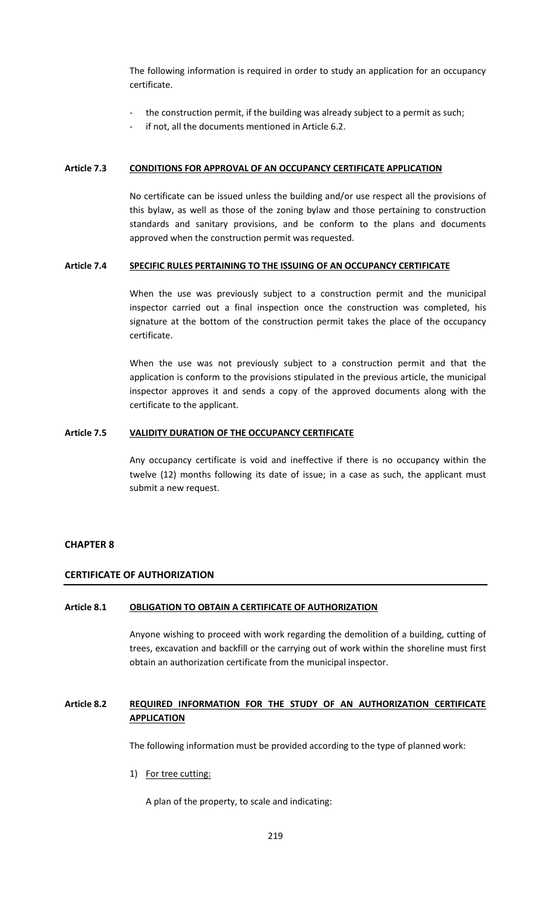The following information is required in order to study an application for an occupancy certificate.

- the construction permit, if the building was already subject to a permit as such;
- if not, all the documents mentioned in Article 6.2.

# **Article 7.3 CONDITIONS FOR APPROVAL OF AN OCCUPANCY CERTIFICATE APPLICATION**

No certificate can be issued unless the building and/or use respect all the provisions of this bylaw, as well as those of the zoning bylaw and those pertaining to construction standards and sanitary provisions, and be conform to the plans and documents approved when the construction permit was requested.

# **Article 7.4 SPECIFIC RULES PERTAINING TO THE ISSUING OF AN OCCUPANCY CERTIFICATE**

When the use was previously subject to a construction permit and the municipal inspector carried out a final inspection once the construction was completed, his signature at the bottom of the construction permit takes the place of the occupancy certificate.

When the use was not previously subject to a construction permit and that the application is conform to the provisions stipulated in the previous article, the municipal inspector approves it and sends a copy of the approved documents along with the certificate to the applicant.

# **Article 7.5 VALIDITY DURATION OF THE OCCUPANCY CERTIFICATE**

Any occupancy certificate is void and ineffective if there is no occupancy within the twelve (12) months following its date of issue; in a case as such, the applicant must submit a new request.

# **CHAPTER 8**

# **CERTIFICATE OF AUTHORIZATION**

# **Article 8.1 OBLIGATION TO OBTAIN A CERTIFICATE OF AUTHORIZATION**

Anyone wishing to proceed with work regarding the demolition of a building, cutting of trees, excavation and backfill or the carrying out of work within the shoreline must first obtain an authorization certificate from the municipal inspector.

# **Article 8.2 REQUIRED INFORMATION FOR THE STUDY OF AN AUTHORIZATION CERTIFICATE APPLICATION**

The following information must be provided according to the type of planned work:

1) For tree cutting:

A plan of the property, to scale and indicating: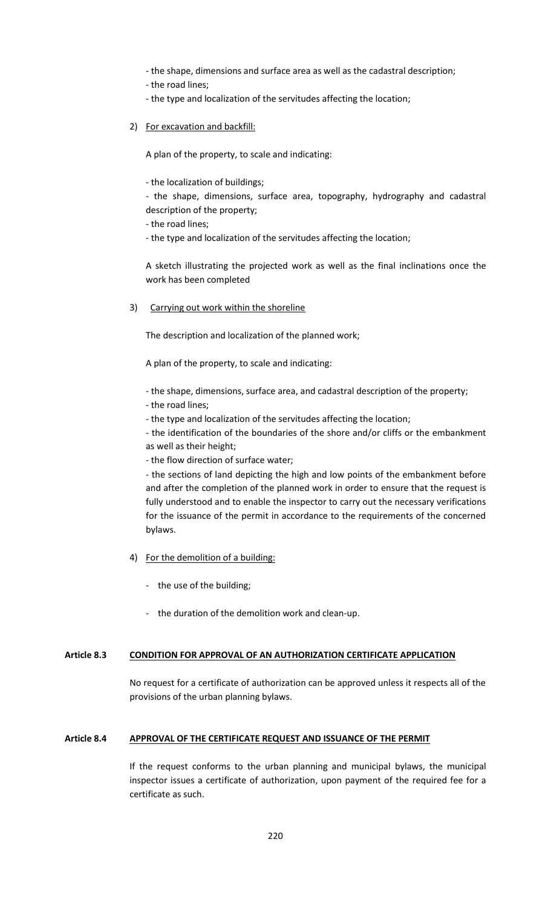- the shape, dimensions and surface area as well as the cadastral description;

- the road lines;
- the type and localization of the servitudes affecting the location;
- 2) For excavation and backfill:

A plan of the property, to scale and indicating:

- the localization of buildings;

- the shape, dimensions, surface area, topography, hydrography and cadastral description of the property;

- the road lines;

- the type and localization of the servitudes affecting the location;

A sketch illustrating the projected work as well as the final inclinations once the work has been completed

3) Carrying out work within the shoreline

The description and localization of the planned work;

A plan of the property, to scale and indicating:

- *-* the shape, dimensions, surface area, and cadastral description of the property;
- the road lines;
- the type and localization of the servitudes affecting the location;

- the identification of the boundaries of the shore and/or cliffs or the embankment as well as their height;

- the flow direction of surface water;

- the sections of land depicting the high and low points of the embankment before and after the completion of the planned work in order to ensure that the request is fully understood and to enable the inspector to carry out the necessary verifications for the issuance of the permit in accordance to the requirements of the concerned bylaws.

- 4) For the demolition of a building:
	- the use of the building;
	- the duration of the demolition work and clean-up.

# **Article 8.3 CONDITION FOR APPROVAL OF AN AUTHORIZATION CERTIFICATE APPLICATION**

No request for a certificate of authorization can be approved unless it respects all of the provisions of the urban planning bylaws.

# **Article 8.4 APPROVAL OF THE CERTIFICATE REQUEST AND ISSUANCE OF THE PERMIT**

If the request conforms to the urban planning and municipal bylaws, the municipal inspector issues a certificate of authorization, upon payment of the required fee for a certificate as such.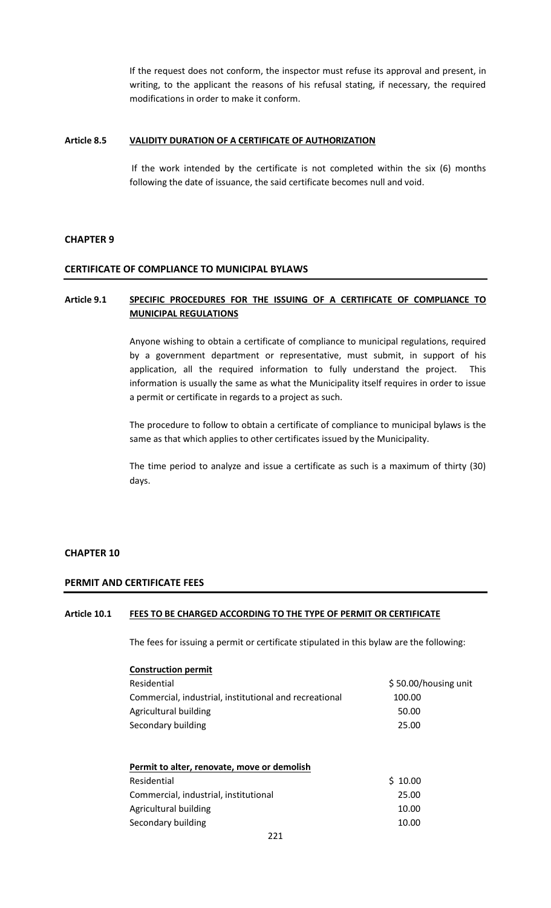If the request does not conform, the inspector must refuse its approval and present, in writing, to the applicant the reasons of his refusal stating, if necessary, the required modifications in order to make it conform.

## **Article 8.5 VALIDITY DURATION OF A CERTIFICATE OF AUTHORIZATION**

If the work intended by the certificate is not completed within the six (6) months following the date of issuance, the said certificate becomes null and void.

### **CHAPTER 9**

#### **CERTIFICATE OF COMPLIANCE TO MUNICIPAL BYLAWS**

# **Article 9.1 SPECIFIC PROCEDURES FOR THE ISSUING OF A CERTIFICATE OF COMPLIANCE TO MUNICIPAL REGULATIONS**

Anyone wishing to obtain a certificate of compliance to municipal regulations, required by a government department or representative, must submit, in support of his application, all the required information to fully understand the project. This information is usually the same as what the Municipality itself requires in order to issue a permit or certificate in regards to a project as such.

The procedure to follow to obtain a certificate of compliance to municipal bylaws is the same as that which applies to other certificates issued by the Municipality.

The time period to analyze and issue a certificate as such is a maximum of thirty (30) days.

#### **CHAPTER 10**

# **PERMIT AND CERTIFICATE FEES**

### **Article 10.1 FEES TO BE CHARGED ACCORDING TO THE TYPE OF PERMIT OR CERTIFICATE**

The fees for issuing a permit or certificate stipulated in this bylaw are the following:

| <b>Construction permit</b>                             |                      |
|--------------------------------------------------------|----------------------|
| Residential                                            | \$50.00/housing unit |
| Commercial, industrial, institutional and recreational | 100.00               |
| Agricultural building                                  | 50.00                |
| Secondary building                                     | 25.00                |
|                                                        |                      |
|                                                        |                      |
| Permit to alter, renovate, move or demolish            |                      |
| Residential                                            | 10.00                |
|                                                        |                      |

Commercial, industrial, institutional 25.00 Agricultural building 10.00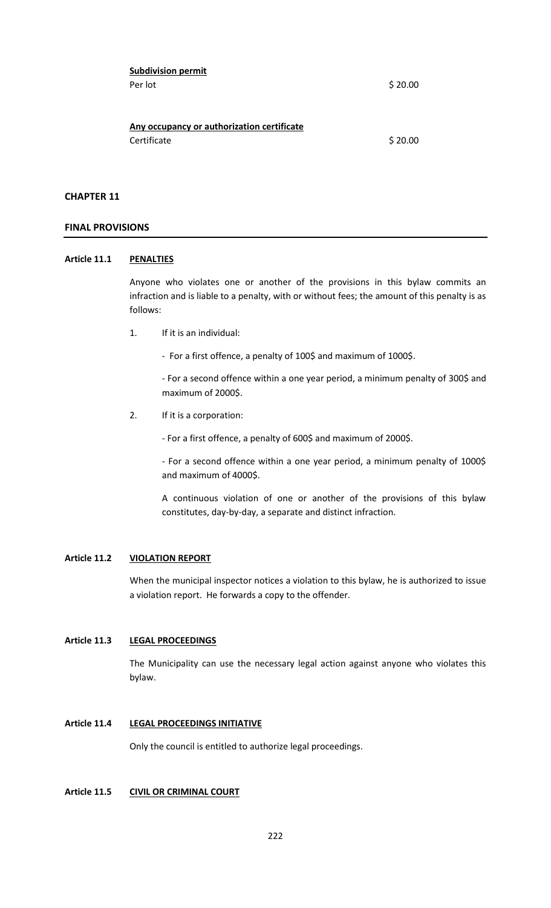| <b>Subdivision permit</b>                  |         |
|--------------------------------------------|---------|
| Per lot                                    | \$20.00 |
|                                            |         |
|                                            |         |
| Any occupancy or authorization certificate |         |
| Certificate                                | \$20.00 |

# **CHAPTER 11**

### **FINAL PROVISIONS**

# **Article 11.1 PENALTIES**

Anyone who violates one or another of the provisions in this bylaw commits an infraction and is liable to a penalty, with or without fees; the amount of this penalty is as follows:

- 1. If it is an individual:
	- For a first offence, a penalty of 100\$ and maximum of 1000\$.

- For a second offence within a one year period, a minimum penalty of 300\$ and maximum of 2000\$.

2. If it is a corporation:

- For a first offence, a penalty of 600\$ and maximum of 2000\$.

- For a second offence within a one year period, a minimum penalty of 1000\$ and maximum of 4000\$.

A continuous violation of one or another of the provisions of this bylaw constitutes, day-by-day, a separate and distinct infraction.

# **Article 11.2 VIOLATION REPORT**

When the municipal inspector notices a violation to this bylaw, he is authorized to issue a violation report. He forwards a copy to the offender.

## **Article 11.3 LEGAL PROCEEDINGS**

The Municipality can use the necessary legal action against anyone who violates this bylaw.

#### **Article 11.4 LEGAL PROCEEDINGS INITIATIVE**

Only the council is entitled to authorize legal proceedings.

# **Article 11.5 CIVIL OR CRIMINAL COURT**